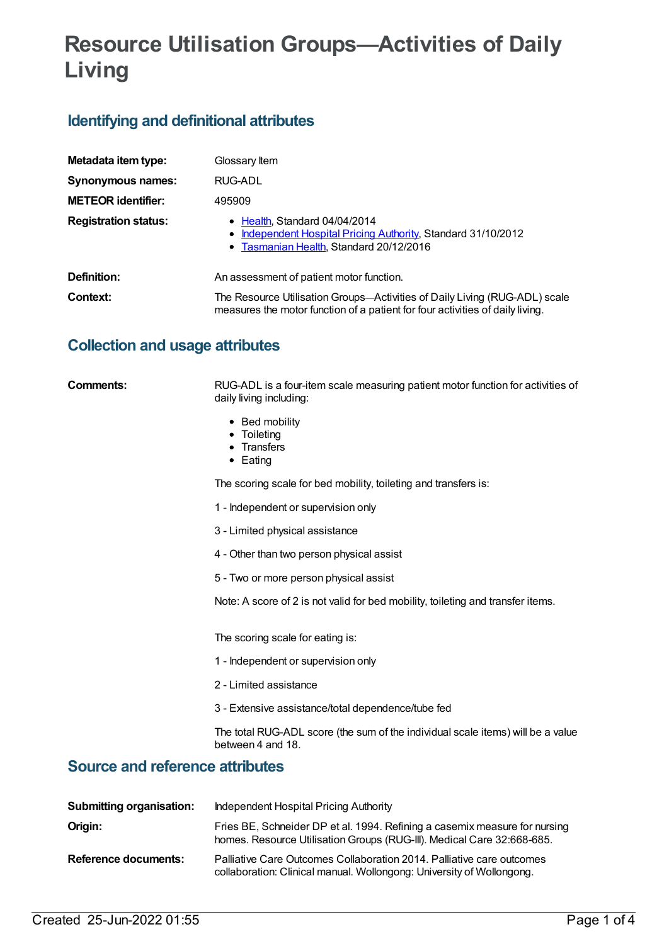## **Resource Utilisation Groups—Activities of Daily Living**

## **Identifying and definitional attributes**

| Metadata item type:         | Glossary Item                                                                                                                                               |
|-----------------------------|-------------------------------------------------------------------------------------------------------------------------------------------------------------|
| Synonymous names:           | RUG-ADL                                                                                                                                                     |
| <b>METEOR identifier:</b>   | 495909                                                                                                                                                      |
| <b>Registration status:</b> | • Health, Standard 04/04/2014<br>• Independent Hospital Pricing Authority, Standard 31/10/2012<br>• Tasmanian Health, Standard 20/12/2016                   |
| Definition:                 | An assessment of patient motor function.                                                                                                                    |
| Context:                    | The Resource Utilisation Groups-Activities of Daily Living (RUG-ADL) scale<br>measures the motor function of a patient for four activities of daily living. |

## **Collection and usage attributes**

| Comments:                              | RUG-ADL is a four-item scale measuring patient motor function for activities of<br>daily living including: |
|----------------------------------------|------------------------------------------------------------------------------------------------------------|
|                                        | • Bed mobility<br>Toileting<br>Transfers<br>$\bullet$ Eating                                               |
|                                        | The scoring scale for bed mobility, toileting and transfers is:                                            |
|                                        | 1 - Independent or supervision only                                                                        |
|                                        | 3 - Limited physical assistance                                                                            |
|                                        | 4 - Other than two person physical assist                                                                  |
|                                        | 5 - Two or more person physical assist                                                                     |
|                                        | Note: A score of 2 is not valid for bed mobility, toileting and transfer items.                            |
|                                        | The scoring scale for eating is:                                                                           |
|                                        | 1 - Independent or supervision only                                                                        |
|                                        | 2 - Limited assistance                                                                                     |
|                                        | 3 - Extensive assistance/total dependence/tube fed                                                         |
|                                        | The total RUG-ADL score (the sum of the individual scale items) will be a value<br>between 4 and 18.       |
| <b>Source and reference attributes</b> |                                                                                                            |
| <b>Submitting organisation:</b>        | <b>Independent Hospital Pricing Authority</b>                                                              |

|                      | homes. Resource Utilisation Groups (RUG-III). Medical Care 32:668-685.                                                                         |
|----------------------|------------------------------------------------------------------------------------------------------------------------------------------------|
| Reference documents: | Palliative Care Outcomes Collaboration 2014. Palliative care outcomes<br>collaboration: Clinical manual. Wollongong: University of Wollongong. |

**Origin:** Fries BE, Schneider DP et al. 1994. Refining a casemix measure for nursing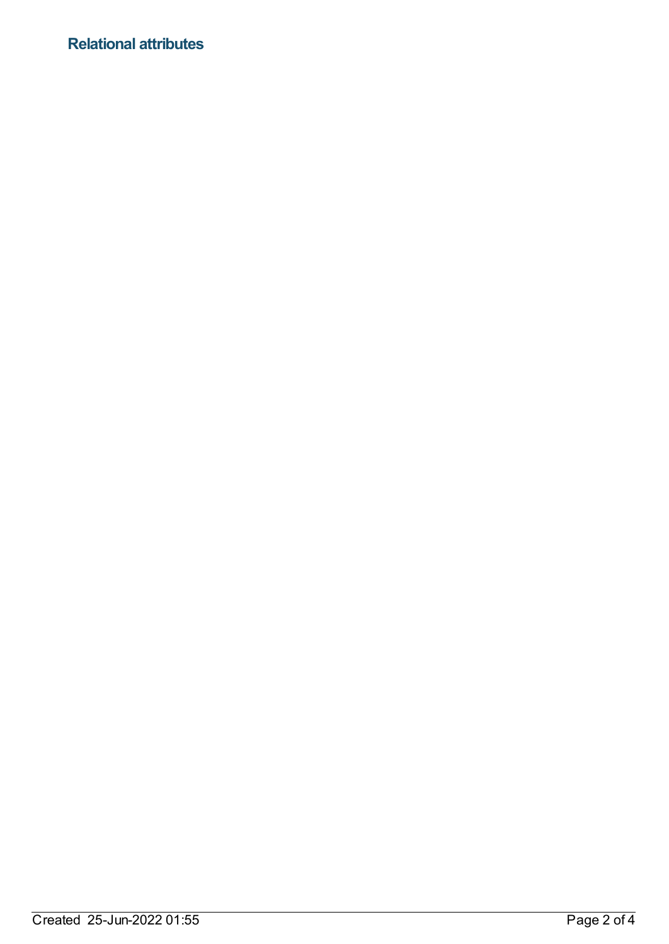## **Relational attributes**